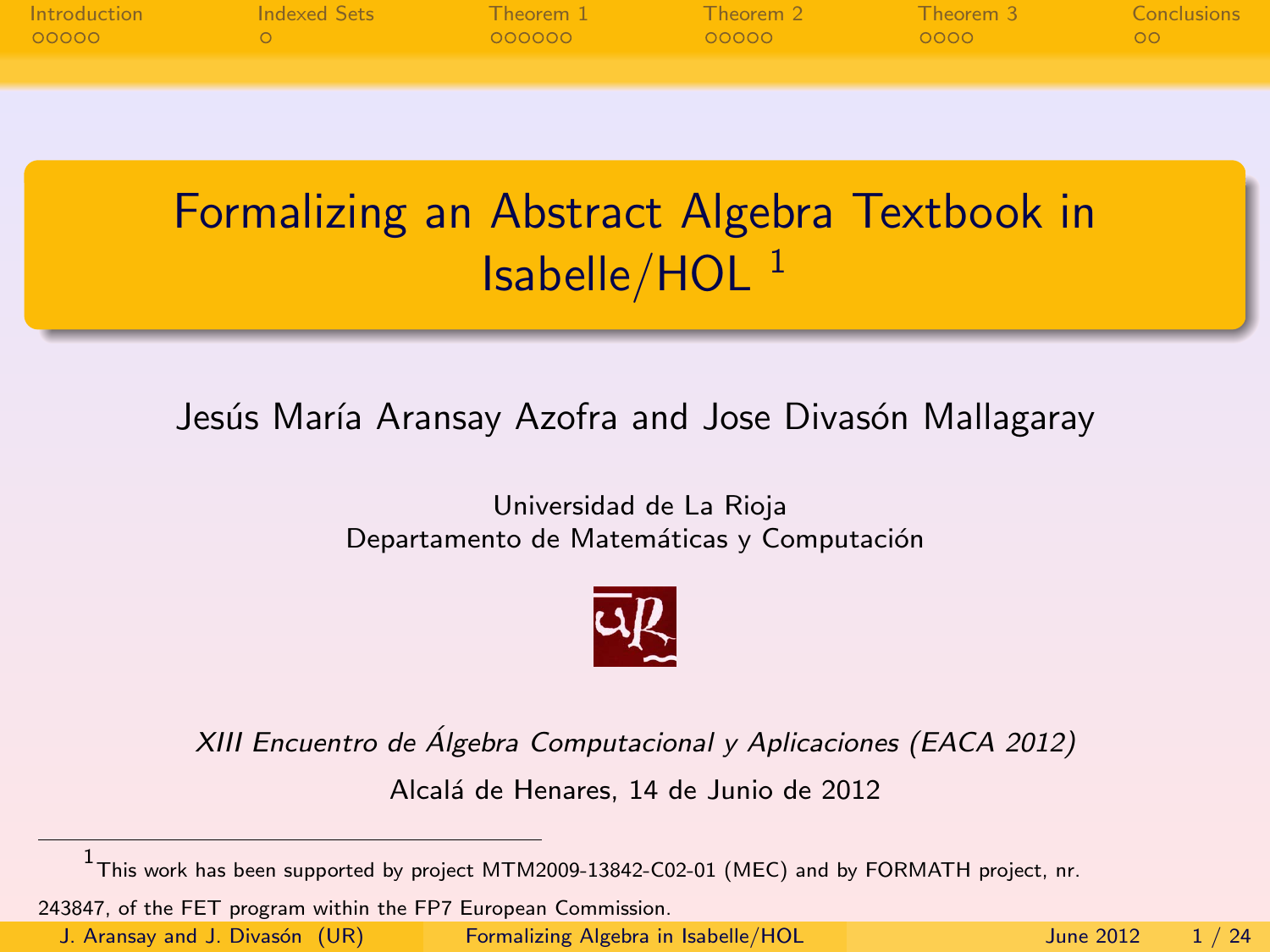|       | ntroduction and the conclusions and the conclusions of the conclusions of the conclusions and the conclusions |                                                                                                                 |  |      |
|-------|---------------------------------------------------------------------------------------------------------------|-----------------------------------------------------------------------------------------------------------------|--|------|
| 00000 |                                                                                                               | and and a contract the contract of the contract of the contract of the contract of the contract of the contract |  | ് ററ |
|       |                                                                                                               |                                                                                                                 |  |      |
|       |                                                                                                               |                                                                                                                 |  |      |

# Formalizing an Abstract Algebra Textbook in  $Isabelle/HOL<sup>1</sup>$

#### Jesús María Aransay Azofra and Jose Divasón Mallagaray

#### Universidad de La Rioja Departamento de Matemáticas y Computación

<span id="page-0-0"></span>

XIII Encuentro de Álgebra Computacional y Aplicaciones (EACA 2012)

Alcalá de Henares, 14 de Junio de 2012

243847, of the FET program within the FP7 European Commission.

<sup>1</sup> This work has been supported by project MTM2009-13842-C02-01 (MEC) and by FORMATH project, nr.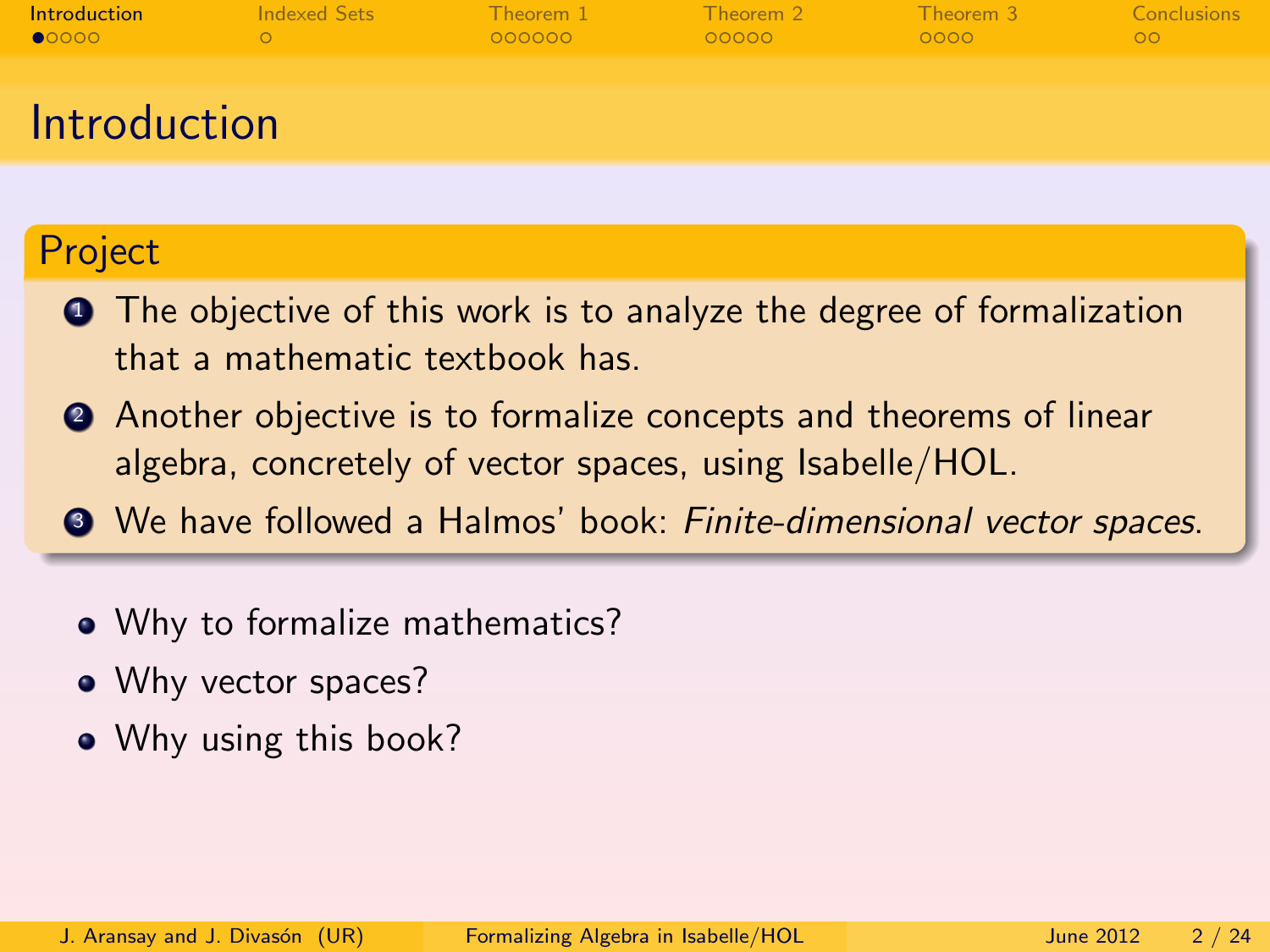| <b>Introduction</b> | Indexed Sets | Theorem 1 | Theorem 2 | Theorem 3. | <b>Conclusions</b> |
|---------------------|--------------|-----------|-----------|------------|--------------------|
| $\bullet$ 0000      |              | OOOOOO    | 00000     | 0000       | OO.                |
| Introduction        |              |           |           |            |                    |

#### Project

- **1** The objective of this work is to analyze the degree of formalization that a mathematic textbook has.
- <sup>2</sup> Another objective is to formalize concepts and theorems of linear algebra, concretely of vector spaces, using Isabelle/HOL.
- <span id="page-1-0"></span><sup>3</sup> We have followed a Halmos' book: Finite-dimensional vector spaces.
	- Why to formalize mathematics?
	- Why vector spaces?
	- Why using this book?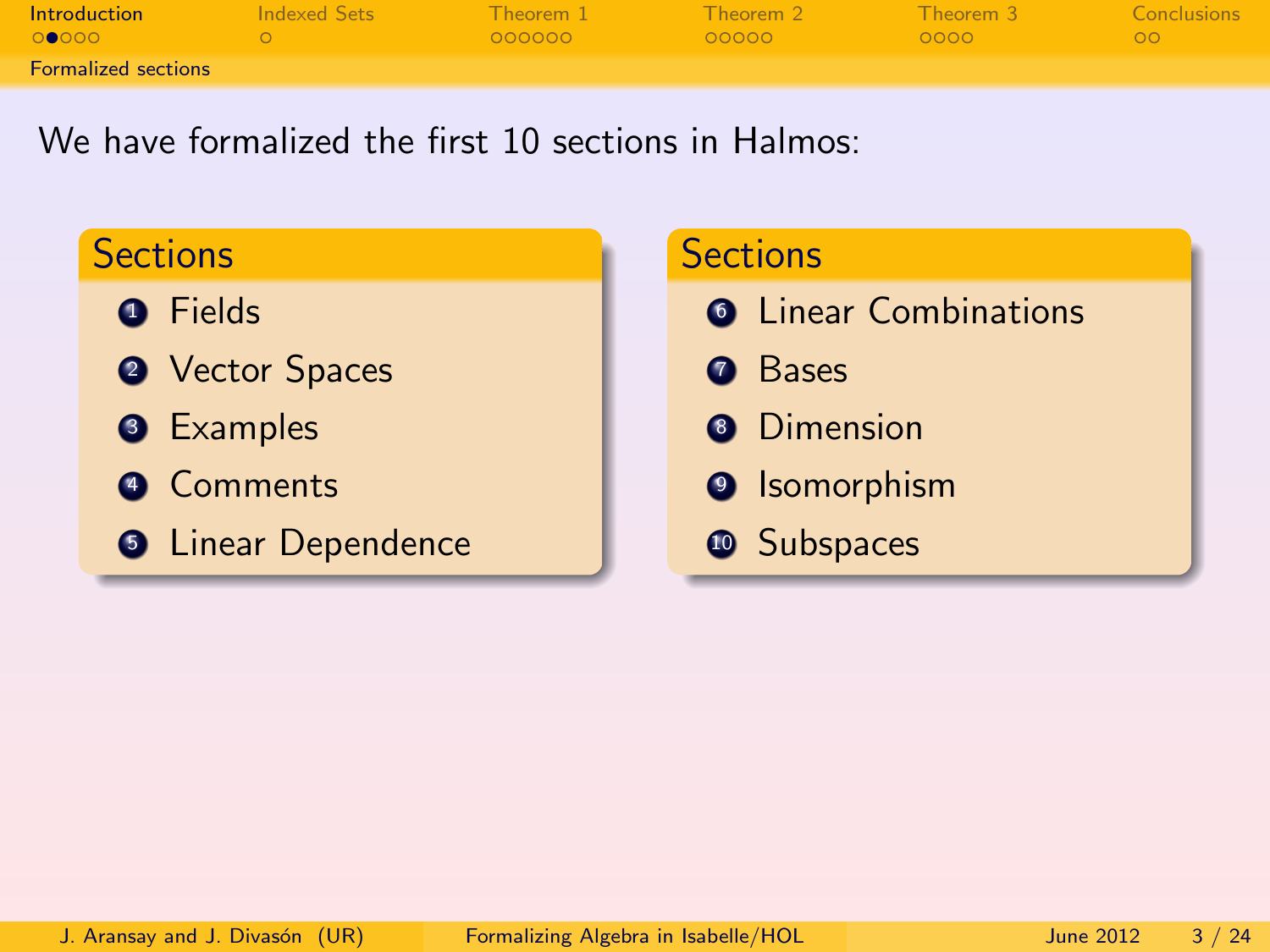| Introduction               | Indexed Sets | Theorem 1 | Theorem 2 | Theorem 3 | Conclusions |
|----------------------------|--------------|-----------|-----------|-----------|-------------|
| 00000                      |              | - 000000  | - റററററ   | - ററററ    | N OON       |
| <b>Formalized sections</b> |              |           |           |           |             |

We have formalized the first 10 sections in Halmos:

## **Sections**

- **O** Fields
- **2** Vector Spaces
- **3** Examples
- **4** Comments
- **5** Linear Dependence

#### **Sections**

- **<sup>6</sup>** Linear Combinations
- **O** Bases
- **8** Dimension
- <sup>9</sup> Isomorphism
- <span id="page-2-0"></span><sup>1</sup> Subspaces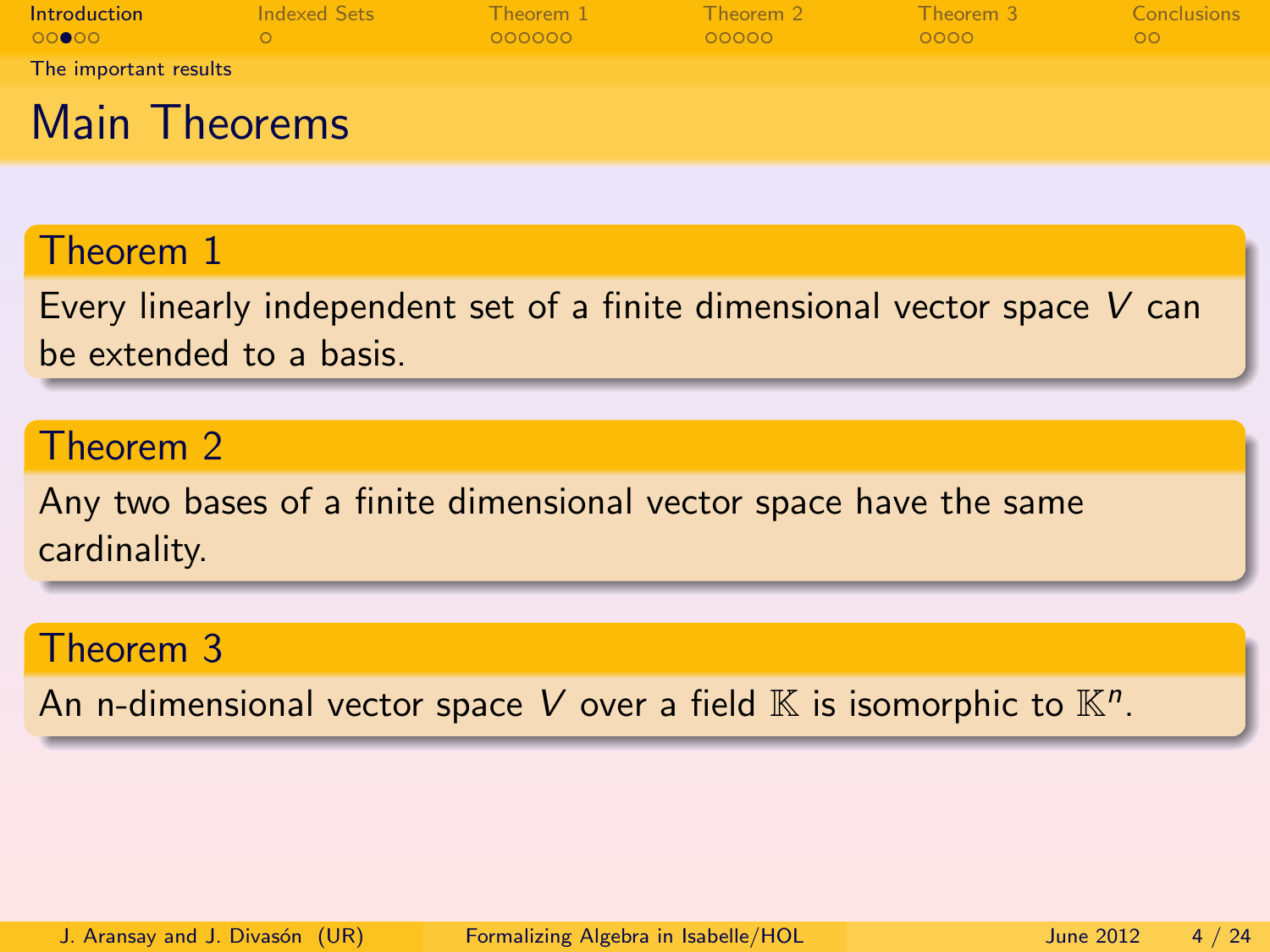| <b>Introduction</b><br>െ∩െറ | Indexed Sets | Theorem 1<br>OOOOOO | Theorem 2<br>00000 | Theorem 3<br>0000 | Conclusions<br>00. |
|-----------------------------|--------------|---------------------|--------------------|-------------------|--------------------|
| The important results       |              |                     |                    |                   |                    |
| Main Theorems               |              |                     |                    |                   |                    |

#### Theorem 1

Every linearly independent set of a finite dimensional vector space V can be extended to a basis.

#### Theorem 2

Any two bases of a finite dimensional vector space have the same cardinality.

#### Theorem 3

<span id="page-3-0"></span>An n-dimensional vector space V over a field  $\mathbb K$  is isomorphic to  $\mathbb K^n.$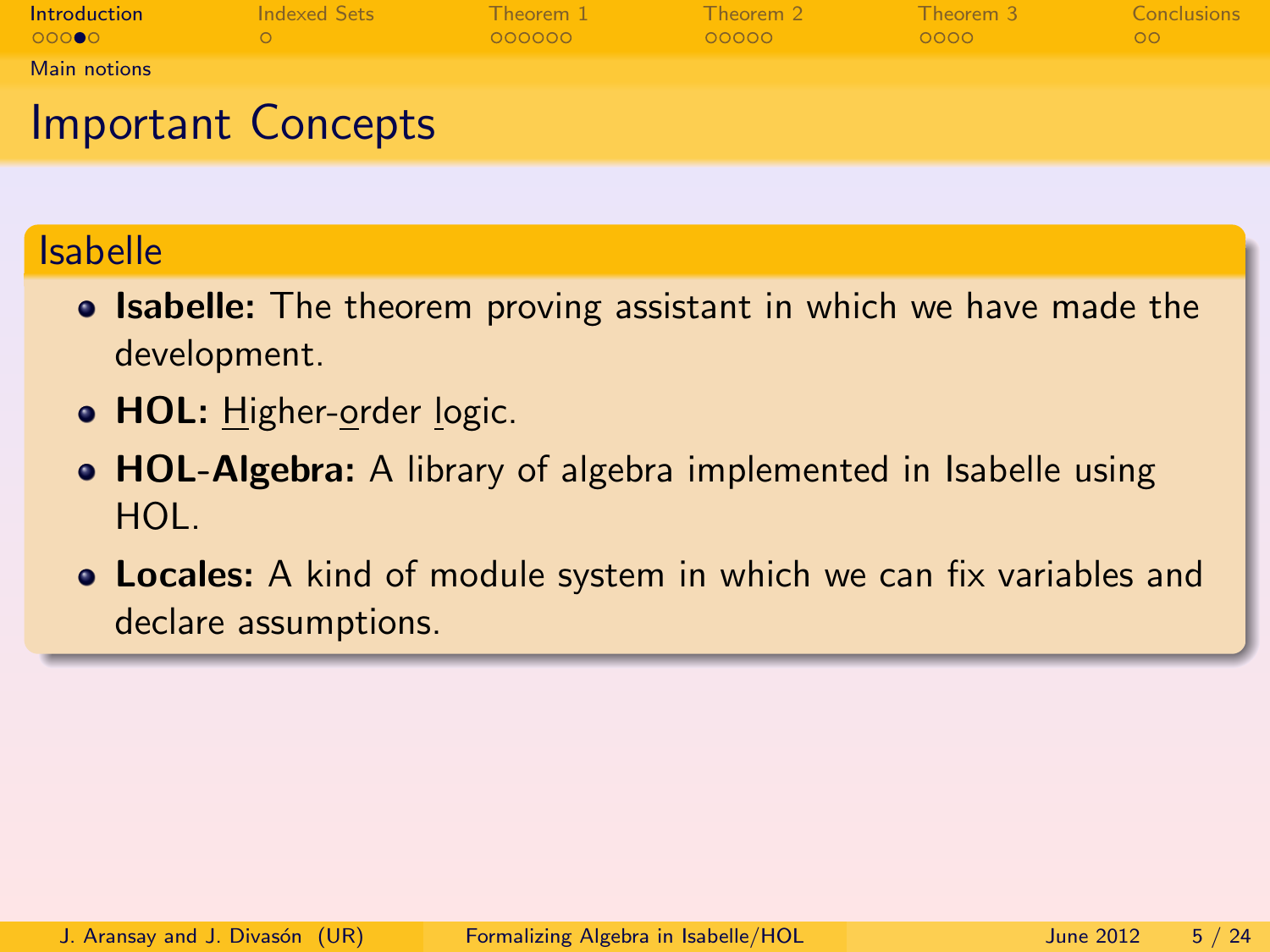| <b>Introduction</b> | Indexed Sets | Theorem 1 | Theorem 2 | Theorem 3 | Conclusions |
|---------------------|--------------|-----------|-----------|-----------|-------------|
| 00000               |              | 000000    | 00000     | 0000      | $\circ$     |
| Main notions        |              |           |           |           |             |
|                     |              |           |           |           |             |

## Important Concepts

#### Isabelle

- **Isabelle:** The theorem proving assistant in which we have made the development.
- **HOL:** Higher-order logic.
- **HOL-Algebra:** A library of algebra implemented in Isabelle using HOL.
- <span id="page-4-0"></span>**• Locales:** A kind of module system in which we can fix variables and declare assumptions.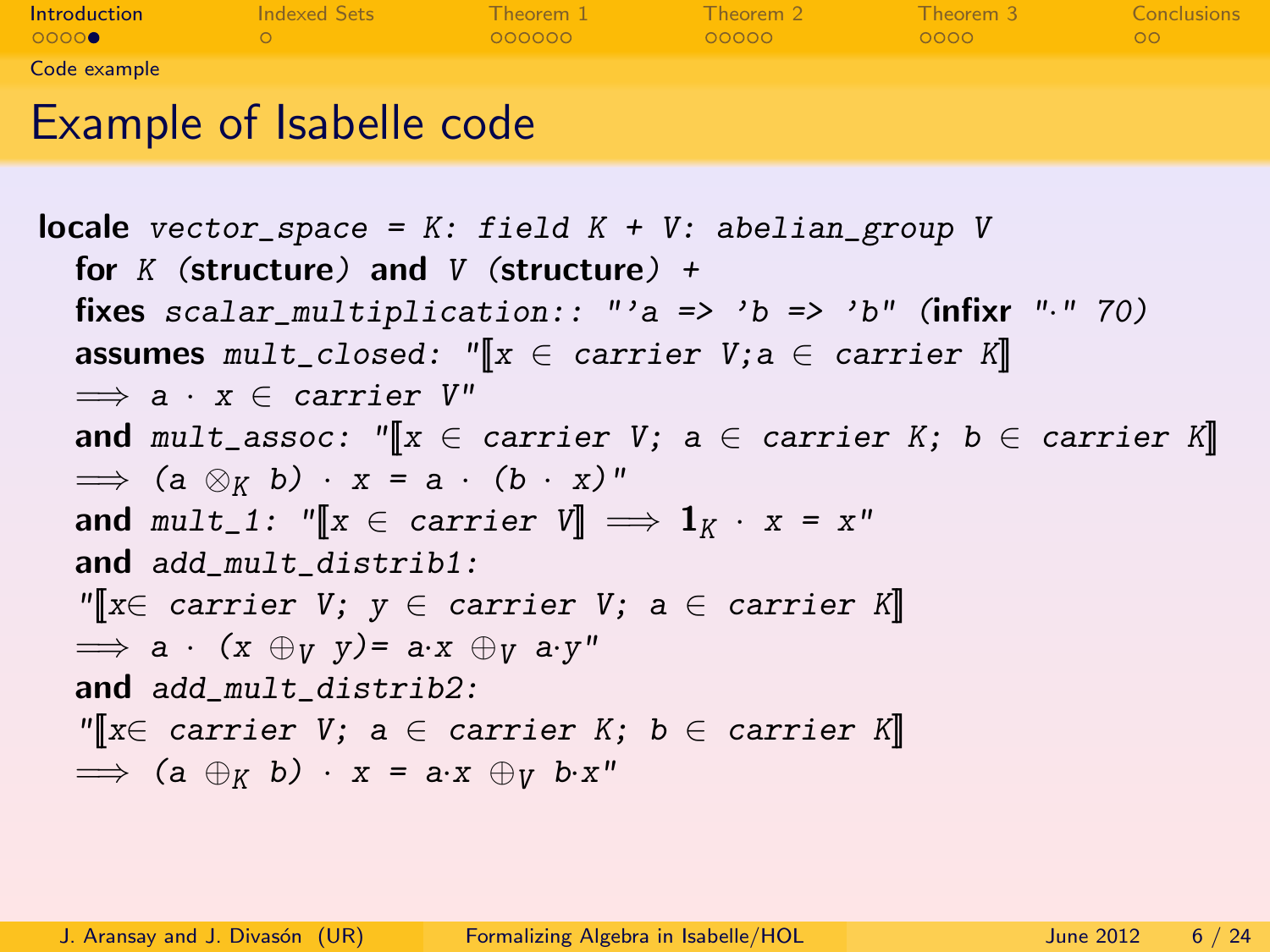| <b>Introduction</b> | <b>Indexed Sets</b> | Theorem 1 | Theorem 2 | Theorem 3 | <b>Conclusions</b> |
|---------------------|---------------------|-----------|-----------|-----------|--------------------|
| 00000               |                     | 000000    | 00000     | 0000      | OO.                |
| Code example        |                     |           |           |           |                    |
|                     | .                   |           |           |           |                    |

## Example of Isabelle code

<span id="page-5-0"></span>**locale** vector\_space =  $K:$  field  $K + V:$  abelian\_group V for K (structure) and V (structure)  $+$ fixes scalar\_multiplication:: "'a => 'b => 'b" (infixr "." 70) assumes mult\_closed: "[ $x \in \text{carrier } V; a \in \text{carrier } K$ ]  $\implies$  a · x  $\in$  carrier  $V''$ and mult\_assoc: " $\|x\| \in$  carrier V; a  $\in$  carrier K; b  $\in$  carrier K $\|$  $\implies$  (a  $\otimes_K b$ ) · x = a · (b · x)" and mult\_1: " $\llbracket x \in \text{carrier } V \rrbracket \implies \mathbf{1}_K \cdot x = x$ " and add\_mult\_distrib1:  $\mathbb{Y}[\![x\in \text{ carrier } V;\; y\in \text{ carrier } V;\; a\in \text{ carrier } K]\!]$  $\implies$  a ·  $(x \oplus_V y) = ax \oplus_V ax''$ and add\_mult\_distrib2:  $\mathbb{M} \times \mathbb{C}$  carrier V; a  $\in$  carrier K; b  $\in$  carrier K  $\implies$  (a  $\oplus_K$  b) · x = a·x  $\oplus_V$  b·x"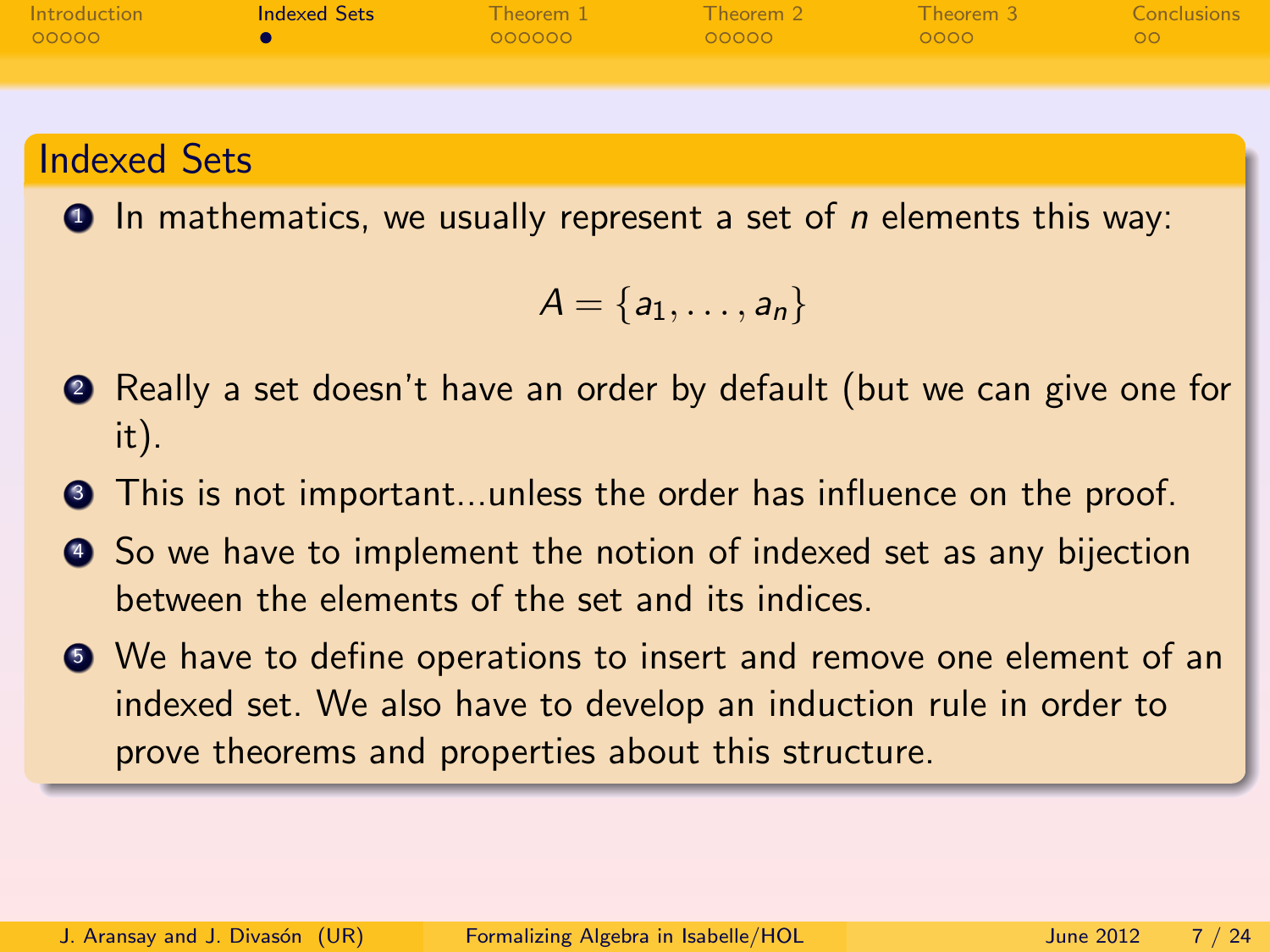| Introduction | <b>Indexed Sets</b> |        |          | <b>Example 1</b> Theorem 2 Theorem 3 Theorem 3 Conclusions |       |
|--------------|---------------------|--------|----------|------------------------------------------------------------|-------|
| 00000        |                     | 000000 | $-00000$ | $-0000$ $-$                                                | N OON |
|              |                     |        |          |                                                            |       |

#### Indexed Sets

 $\bullet$  In mathematics, we usually represent a set of *n* elements this way:

<span id="page-6-0"></span>
$$
A=\{a_1,\ldots,a_n\}
$$

- <sup>2</sup> Really a set doesn't have an order by default (but we can give one for it).
- **3** This is not important...unless the order has influence on the proof.
- <sup>4</sup> So we have to implement the notion of indexed set as any bijection between the elements of the set and its indices.
- <sup>5</sup> We have to define operations to insert and remove one element of an indexed set. We also have to develop an induction rule in order to prove theorems and properties about this structure.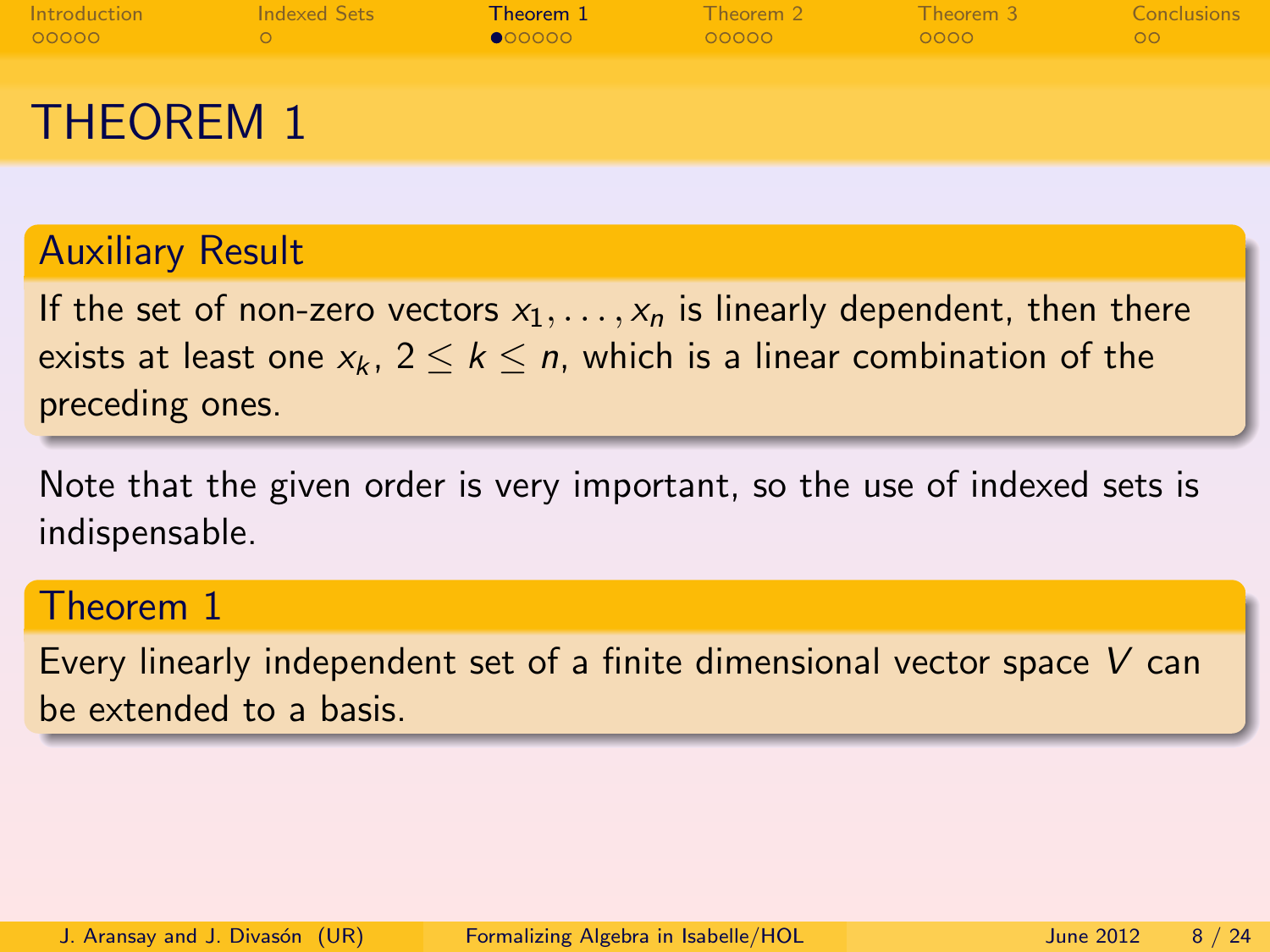| <b>Introduction</b> | Indexed Sets | Theorem 1 | Theorem 2 | Theorem 3 | Conclusions |
|---------------------|--------------|-----------|-----------|-----------|-------------|
| 00000               |              | 000000    | 00000     | 0000      | ററ          |
| <b>THEOREM 1</b>    |              |           |           |           |             |

#### Auxiliary Result

If the set of non-zero vectors  $x_1, \ldots, x_n$  is linearly dependent, then there exists at least one  $x_k$ ,  $2 \le k \le n$ , which is a linear combination of the preceding ones.

Note that the given order is very important, so the use of indexed sets is indispensable.

#### Theorem 1

<span id="page-7-0"></span>Every linearly independent set of a finite dimensional vector space V can be extended to a basis.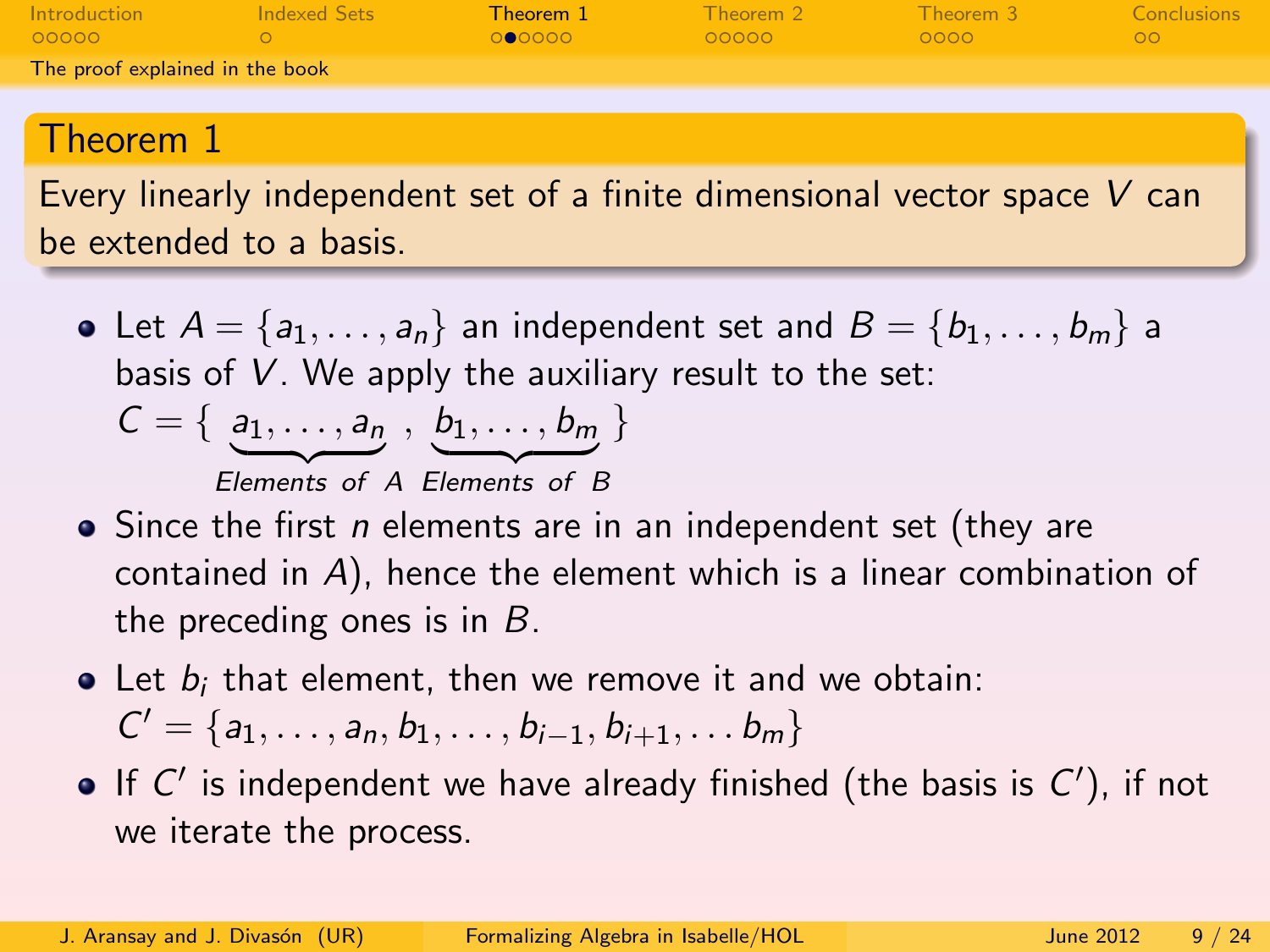| Introduction                    | Indexed Sets | Theorem 1     | Theorem 2 | Theorem 3     | Conclusions |
|---------------------------------|--------------|---------------|-----------|---------------|-------------|
| LOOOOO                          |              | <b>OCOOOO</b> | - റററററ   | $\sqrt{0000}$ | LOOL        |
| The proof explained in the book |              |               |           |               |             |

### Theorem 1

Every linearly independent set of a finite dimensional vector space V can be extended to a basis.

- Let  $A = \{a_1, \ldots, a_n\}$  an independent set and  $B = \{b_1, \ldots, b_m\}$  a basis of V. We apply the auxiliary result to the set:  $C = \{a_1, \ldots, a_{n}, b_1, \ldots, b_{m}\}\$ Elements of A Elements of B
- Since the first *n* elements are in an independent set (they are contained in A), hence the element which is a linear combination of the preceding ones is in  $B$ .
- $\bullet$  Let  $b_i$  that element, then we remove it and we obtain:  $C' = \{a_1, \ldots, a_n, b_1, \ldots, b_{i-1}, b_{i+1}, \ldots, b_m\}$
- <span id="page-8-0"></span>If  $C'$  is independent we have already finished (the basis is  $C'$ ), if not we iterate the process.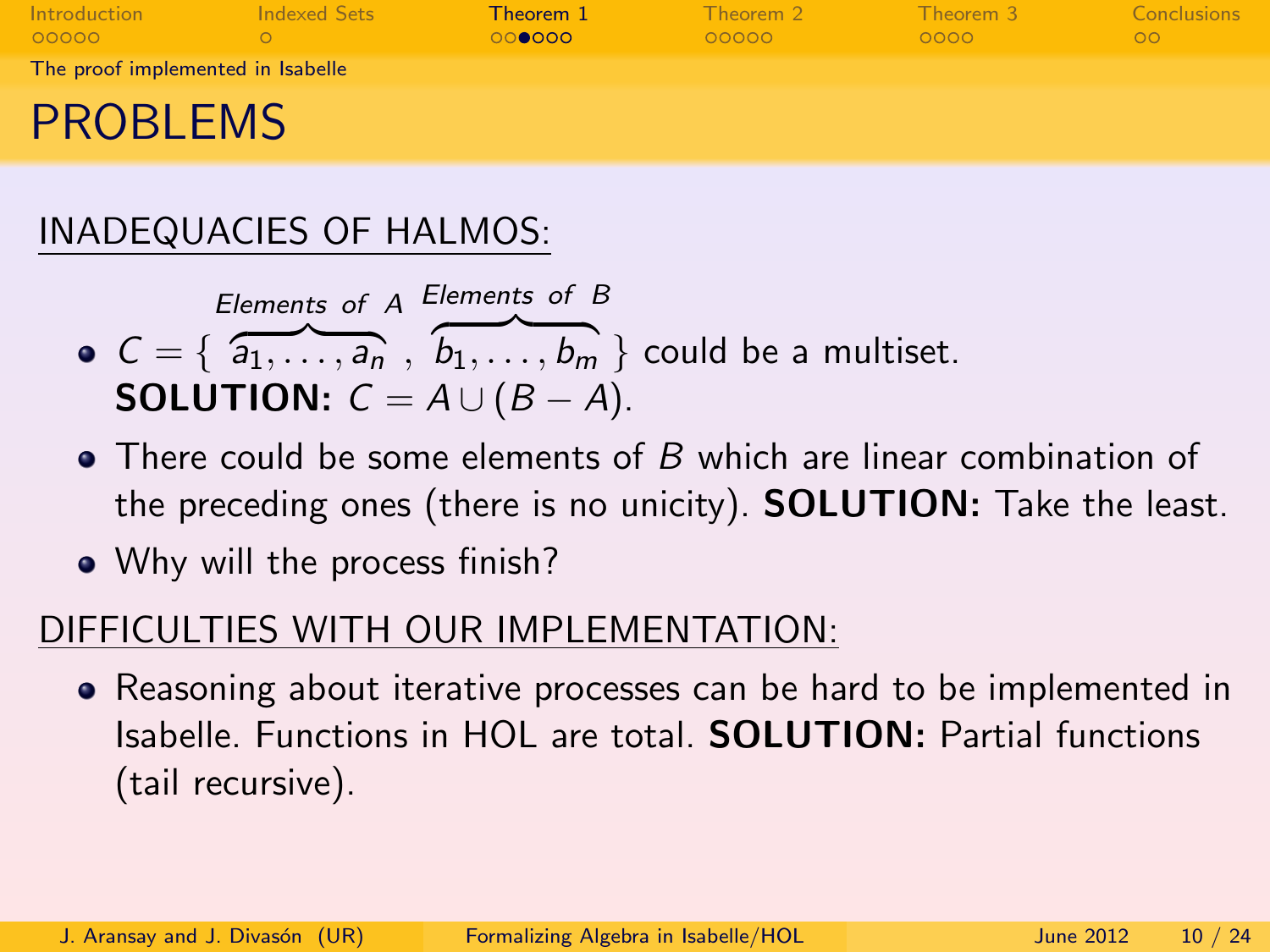| Introduction<br>00000             | Indexed Sets | Theorem 1<br>000000 | Theorem 2<br>00000 | Theorem 3<br>0000 | Conclusions<br>$\circ$ |
|-----------------------------------|--------------|---------------------|--------------------|-------------------|------------------------|
| The proof implemented in Isabelle |              |                     |                    |                   |                        |
| <b>PROBLEMS</b>                   |              |                     |                    |                   |                        |

## INADEQUACIES OF HALMOS:

*Elements of A Elements of B*  
\n• 
$$
C = \{ \overbrace{a_1, \ldots, a_n}^{a_1, \ldots, a_n}, \overbrace{b_1, \ldots, b_m}^{b_1, \ldots, b_m} \}
$$
 could be a multiset.  
\n**SOLUTION:**  $C = A \cup (B - A)$ .

- There could be some elements of B which are linear combination of the preceding ones (there is no unicity). SOLUTION: Take the least.
- Why will the process finish?

### DIFFICULTIES WITH OUR IMPLEMENTATION:

<span id="page-9-0"></span>• Reasoning about iterative processes can be hard to be implemented in Isabelle. Functions in HOL are total. SOLUTION: Partial functions (tail recursive).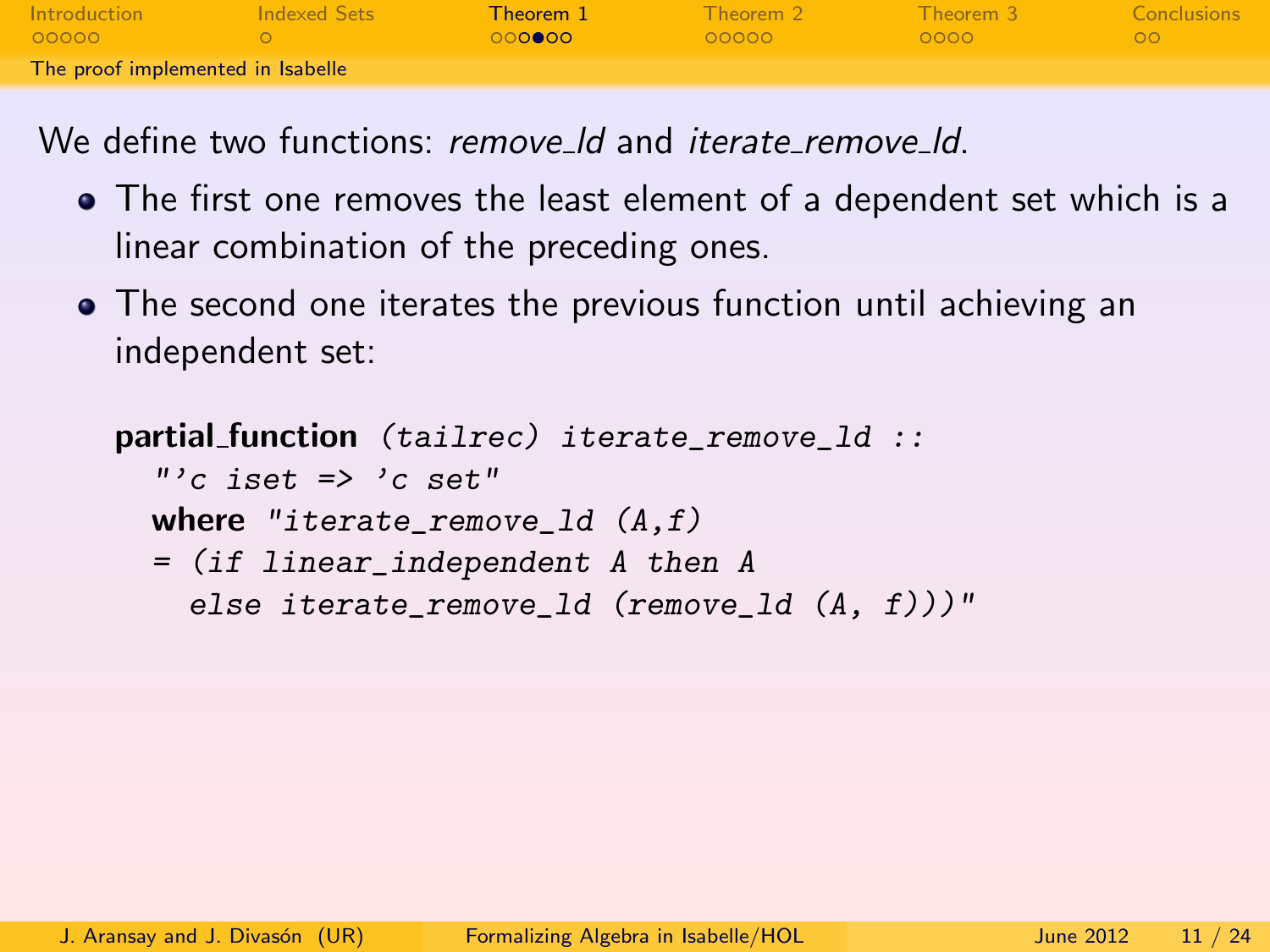| Introduction                      | Indexed Sets | Theorem 1       | Theorem 2 | Theorem 3   | Conclusions |
|-----------------------------------|--------------|-----------------|-----------|-------------|-------------|
| 00000                             |              | ം റ <b>െറ</b> െ | 00000     | <b>COOO</b> | no          |
| The proof implemented in Isabelle |              |                 |           |             |             |

We define two functions: remove Id and *iterate remove Id.* 

- The first one removes the least element of a dependent set which is a linear combination of the preceding ones.
- The second one iterates the previous function until achieving an independent set:

```
partial function (tailrec) iterate_remove_ld ::
  "'c iset \Rightarrow 'c set"
  where "iterate remove 1d (A,f)= (if linear_independent A then A
    else iterate_remove_ld (remove_ld (A, f)))"
```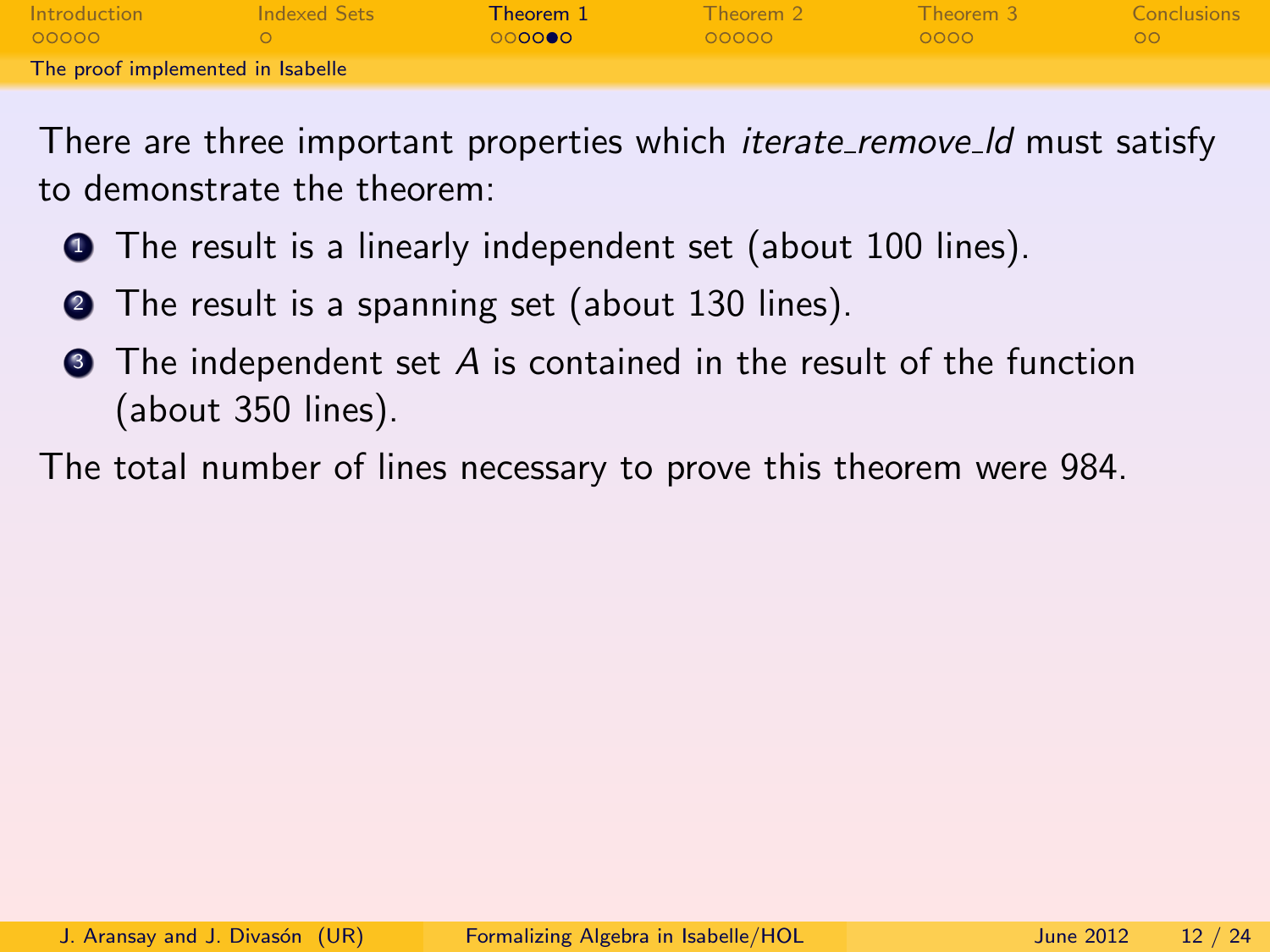| <b>Introduction</b>               | Indexed Sets | Theorem 1     | Theorem 2 | Theorem 3 | Conclusions |
|-----------------------------------|--------------|---------------|-----------|-----------|-------------|
| 00000                             |              | ിറ <b>െറെ</b> | LOOOOO    | - ററററ    | nn.         |
| The proof implemented in Isabelle |              |               |           |           |             |

There are three important properties which *iterate\_remove\_ld* must satisfy to demonstrate the theorem:

- **1** The result is a linearly independent set (about 100 lines).
- **2** The result is a spanning set (about 130 lines).
- $\bullet$  The independent set A is contained in the result of the function (about 350 lines).

<span id="page-11-0"></span>The total number of lines necessary to prove this theorem were 984.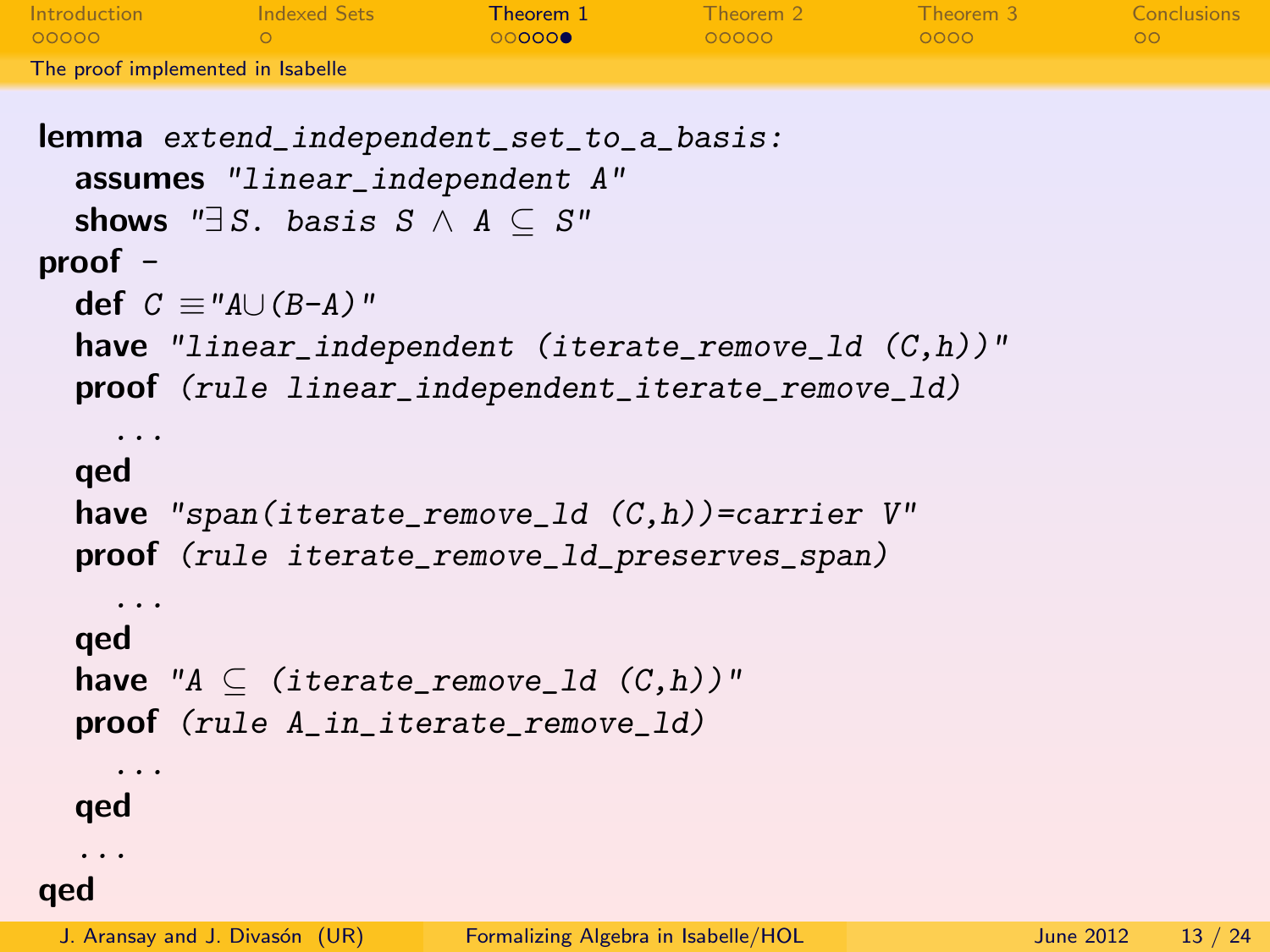| Introduction                      | Indexed Sets | Theorem 1 | Theorem 2 | Theorem 3 | Conclusions |
|-----------------------------------|--------------|-----------|-----------|-----------|-------------|
| LOOOOO                            |              | 000000    | LOOOOO    | - ററററ    | OO.         |
| The proof implemented in Isabelle |              |           |           |           |             |

```
lemma extend_independent_set_to_a_basis:
  assumes "linear_independent A"
  shows "\exists S. basis S \wedge A \subseteq S"
proof -
  def C \equiv "A \cup (B-A)"have "linear_independent (iterate_remove_ld (C,h))"
  proof (rule linear_independent_iterate_remove_ld)
    ...
  qed
  have "span(iterate_remove_1d(C,h))=carrier V"
  proof (rule iterate_remove_ld_preserves_span)
    ...
  qed
  have "A \subseteq (iterate_remove_1d (C,h))"
  proof (rule A_in_iterate_remove_ld)
    ...
  qed
  ...
qed
```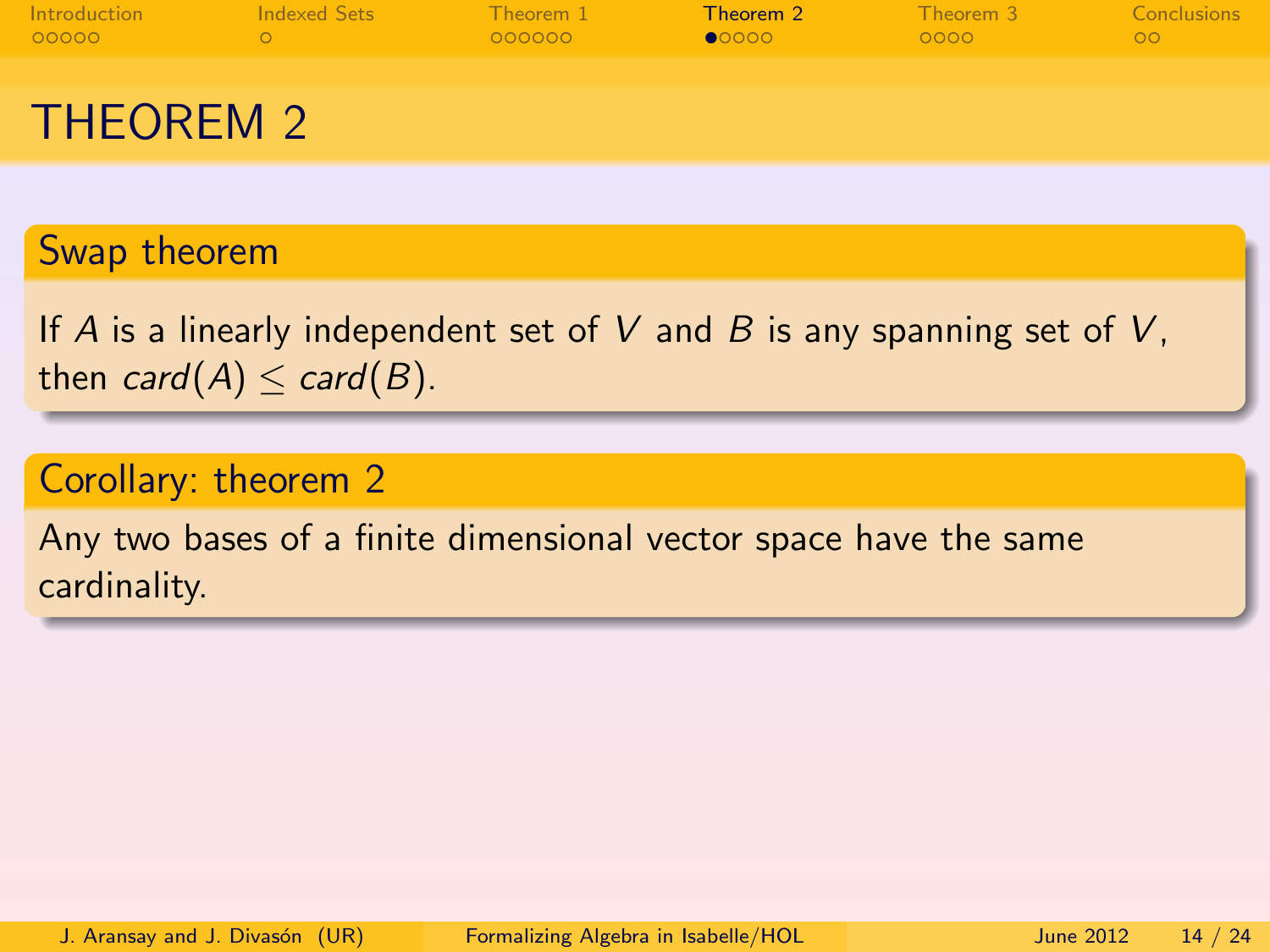| Introduction | Indexed Sets | Theorem 1 | Theorem 2 | Theorem 3 | Conclusions |
|--------------|--------------|-----------|-----------|-----------|-------------|
| 00000        |              | OOOOOO    | 00000     | 0000      | $\circ$     |
| THEOREM 2    |              |           |           |           |             |

#### Swap theorem

If A is a linearly independent set of V and B is any spanning set of V, then  $card(A) \leq card(B)$ .

#### Corollary: theorem 2

<span id="page-13-0"></span>Any two bases of a finite dimensional vector space have the same cardinality.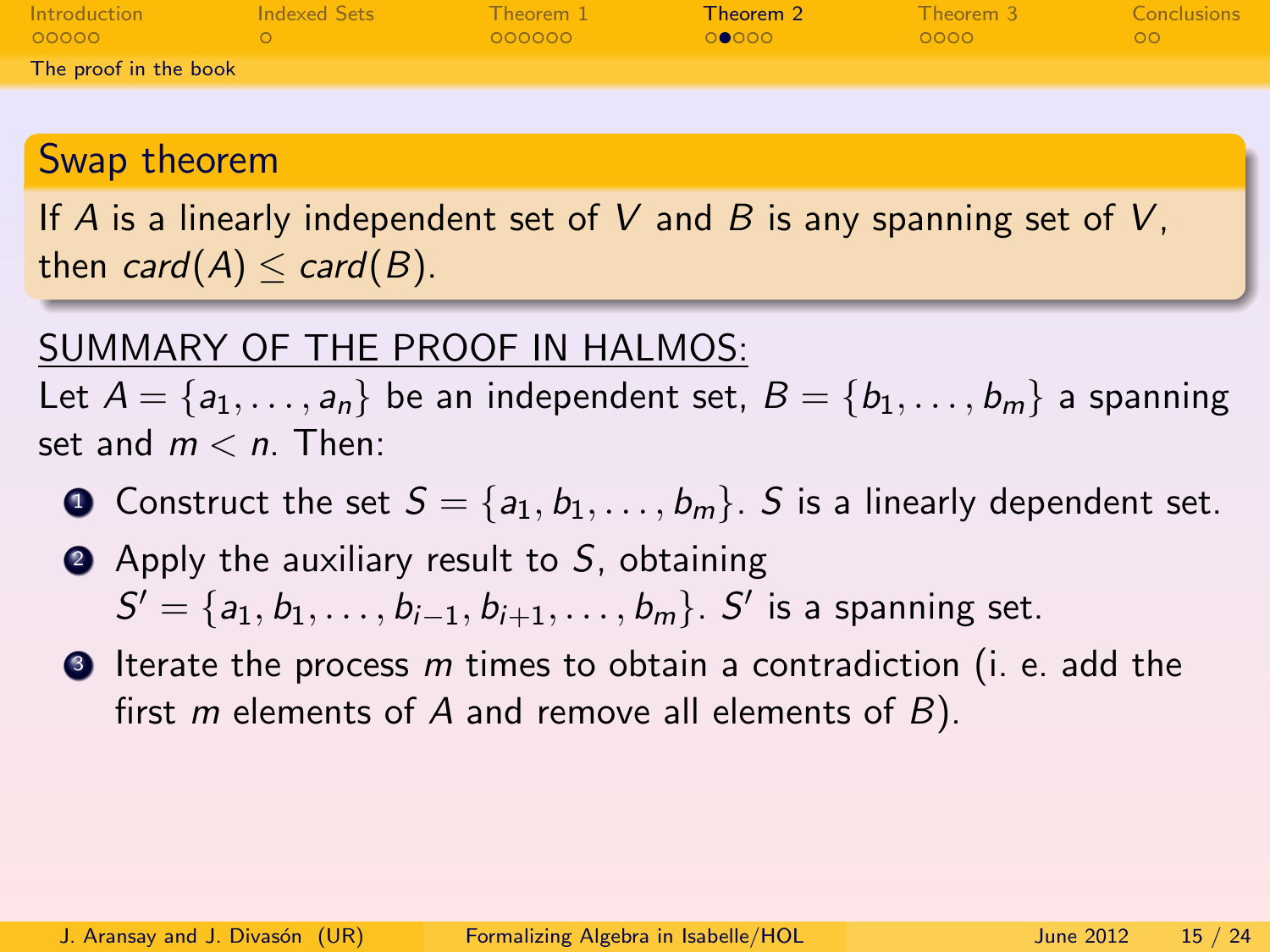| Introduction          | Indexed Sets | Theorem 1 | Theorem 2 | Theorem 3 | Conclusions |
|-----------------------|--------------|-----------|-----------|-----------|-------------|
| 00000                 |              | COOOOO    | . റൈറ്റെ  | - OOOO    | ററ          |
| The proof in the book |              |           |           |           |             |

#### Swap theorem

If A is a linearly independent set of V and B is any spanning set of V, then card(A)  $\leq$  card(B).

#### SUMMARY OF THE PROOF IN HALMOS:

Let  $A = \{a_1, \ldots, a_n\}$  be an independent set,  $B = \{b_1, \ldots, b_m\}$  a spanning set and  $m < n$ . Then:

- **1** Construct the set  $S = \{a_1, b_1, \ldots, b_m\}$ . S is a linearly dependent set.
- $\bullet$  Apply the auxiliary result to S, obtaining  $S' = \{a_1, b_1, \ldots, b_{i-1}, b_{i+1}, \ldots, b_m\}$ .  $S'$  is a spanning set.
- <span id="page-14-0"></span> $\bullet$  Iterate the process m times to obtain a contradiction (i. e. add the first m elements of A and remove all elements of  $B$ ).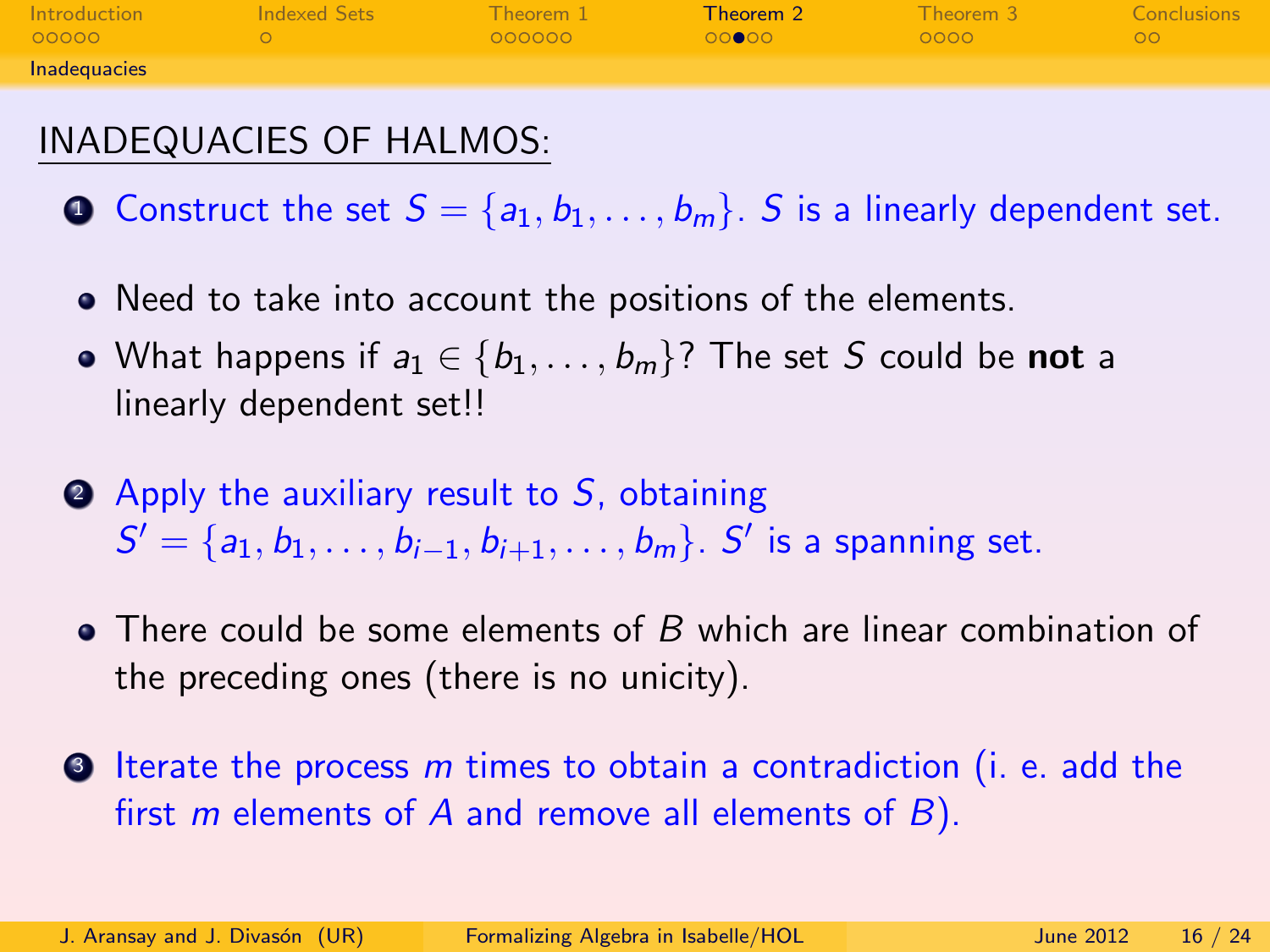| Introduction | Indexed Sets | $\blacksquare$ Theorem $1$ | Theorem 2 | Theorem 3 | Conclusions |
|--------------|--------------|----------------------------|-----------|-----------|-------------|
| 00000        |              | OOOOOO                     | റററേ      | 0000      | OO.         |
| Inadequacies |              |                            |           |           |             |

### INADEQUACIES OF HALMOS:

**1** Construct the set  $S = \{a_1, b_1, \ldots, b_m\}$ . S is a linearly dependent set.

- Need to take into account the positions of the elements.
- What happens if  $a_1 \in \{b_1, \ldots, b_m\}$ ? The set S could be not a linearly dependent set!!
- $\bullet$  Apply the auxiliary result to S, obtaining  $S' = \{a_1, b_1, \ldots, b_{i-1}, b_{i+1}, \ldots, b_m\}$ . S' is a spanning set.
- There could be some elements of B which are linear combination of the preceding ones (there is no unicity).
- <span id="page-15-0"></span>**3** Iterate the process m times to obtain a contradiction (i. e. add the first m elements of A and remove all elements of  $B$ ).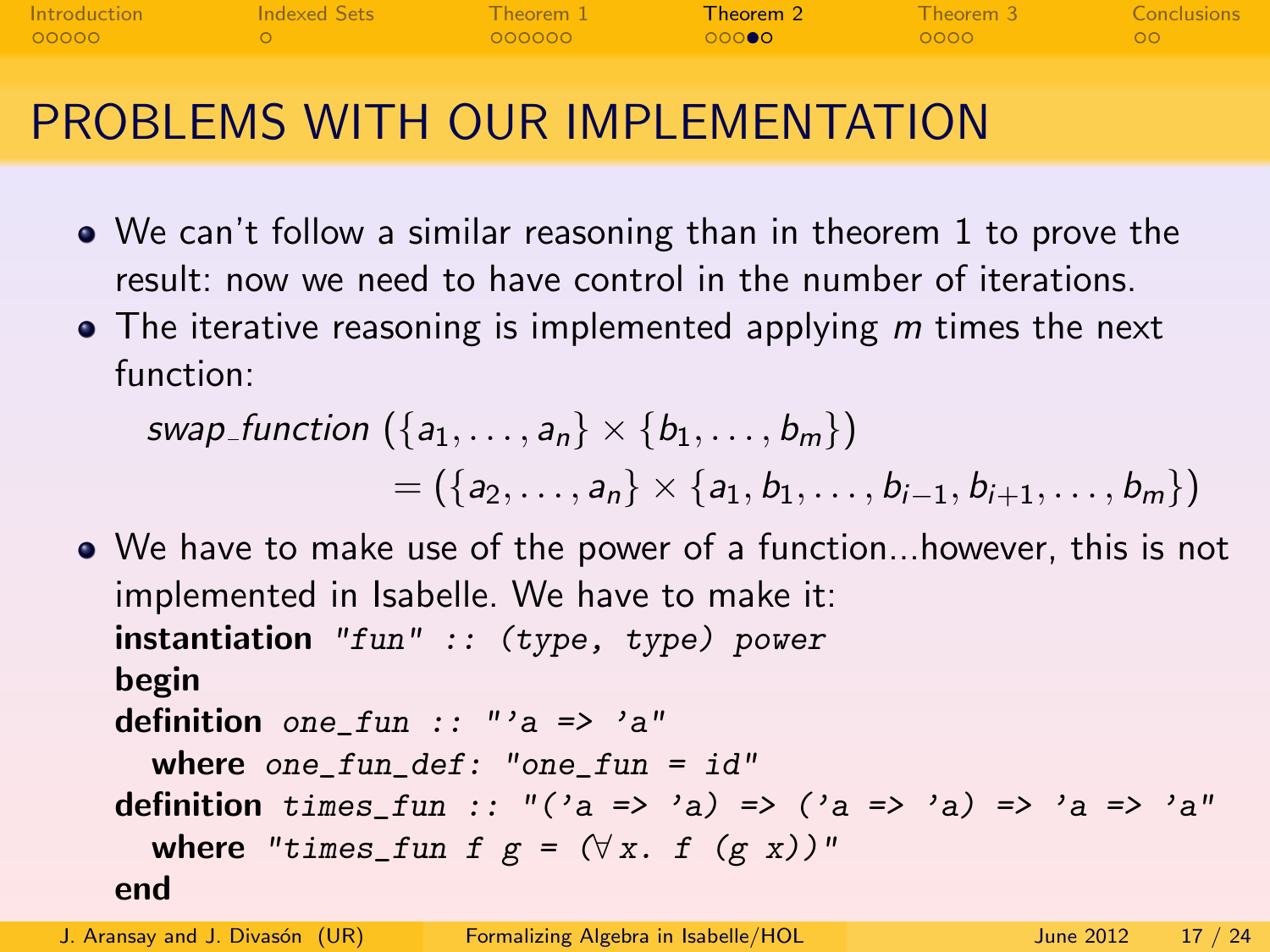| <b>Introduction</b> | Indexed Sets | Theorem 1 | <b>Theorem 2</b> Theorem 3 |                    | <b>Conclusions</b> |
|---------------------|--------------|-----------|----------------------------|--------------------|--------------------|
| 00000               |              | - QQQQQQ  | ാറാകുറ                     | $\sim$ 0000 $\sim$ | _ ററ               |
|                     |              |           |                            |                    |                    |

# PROBLEMS WITH OUR IMPLEMENTATION

- We can't follow a similar reasoning than in theorem 1 to prove the result: now we need to have control in the number of iterations.
- $\bullet$  The iterative reasoning is implemented applying  $m$  times the next function:

swap function  $(\{a_1, \ldots, a_n\} \times \{b_1, \ldots, b_m\})$  $= (\{a_2, \ldots, a_n\} \times \{a_1, b_1, \ldots, b_{i-1}, b_{i+1}, \ldots, b_m\})$ 

We have to make use of the power of a function...however, this is not implemented in Isabelle. We have to make it: instantiation "fun" :: (type, type) power begin definition one\_fun ::  $" a \Rightarrow 'a"$ where one\_fun\_def: "one\_fun =  $id"$ definition times\_fun ::  $''('a => 'a) => ('a => 'a) => 'a => 'a"$ where "times\_fun f  $g = (\forall x. f (g x))$ " end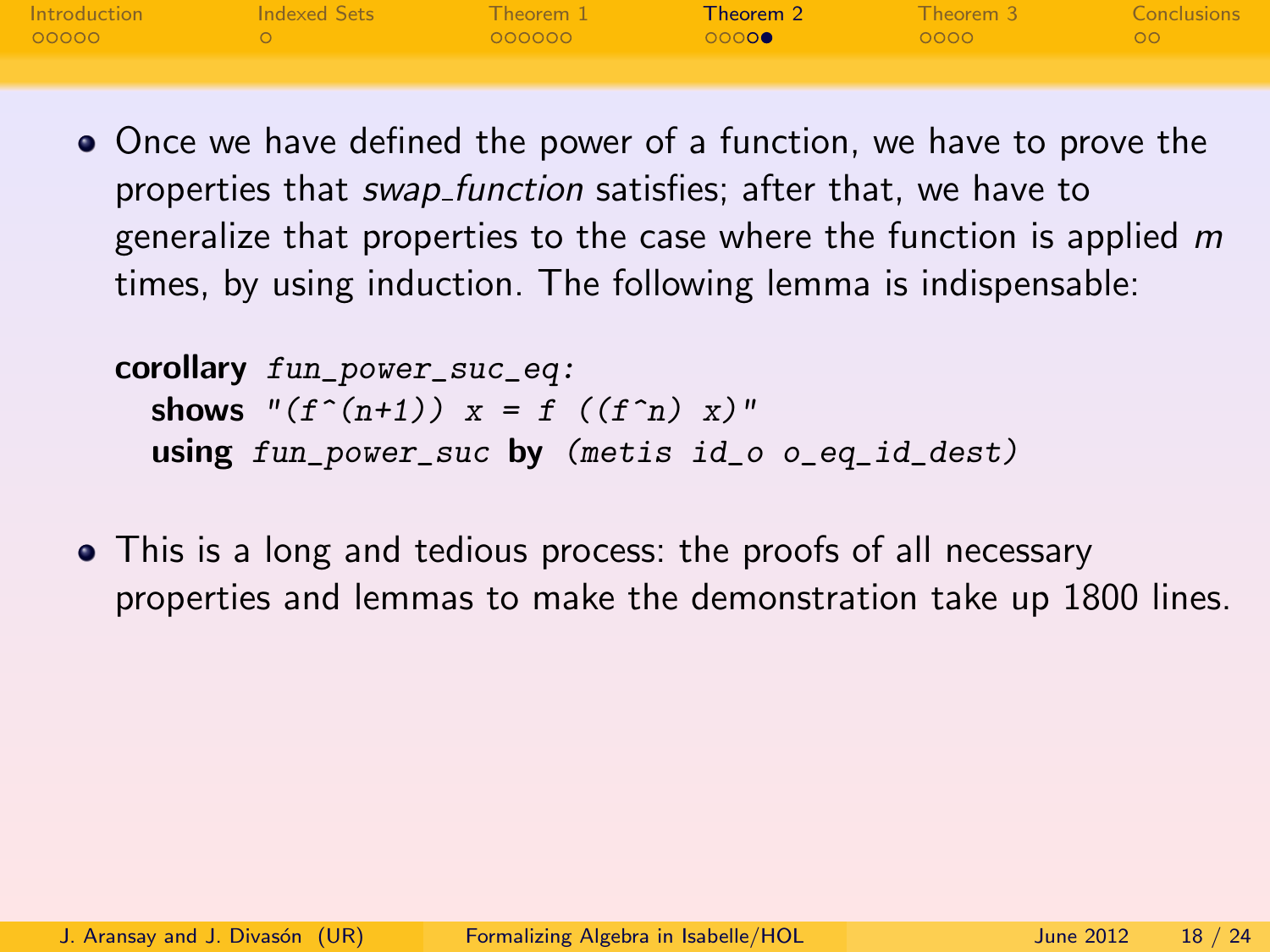| <b>Introduction</b> | Indexed Sets  | $\blacksquare$ Theorem 1 $\blacksquare$ |                 | <b>Theorem 2</b> Theorem 3 Conclusions |      |
|---------------------|---------------|-----------------------------------------|-----------------|----------------------------------------|------|
| 00000               | $\sim$ $\sim$ | - QOOOOO - - -                          | L QOO <b>QO</b> | $-0000$                                | ം റവ |
|                     |               |                                         |                 |                                        |      |

Once we have defined the power of a function, we have to prove the properties that swap function satisfies; after that, we have to generalize that properties to the case where the function is applied  $m$ times, by using induction. The following lemma is indispensable:

corollary fun\_power\_suc\_eq: shows " $(f^{\hat{ }}(n+1))$   $x = f^{\hat{ }}(f^{\hat{ }}n)$   $x)$ " using fun\_power\_suc by (metis id\_o o\_eq\_id\_dest)

This is a long and tedious process: the proofs of all necessary properties and lemmas to make the demonstration take up 1800 lines.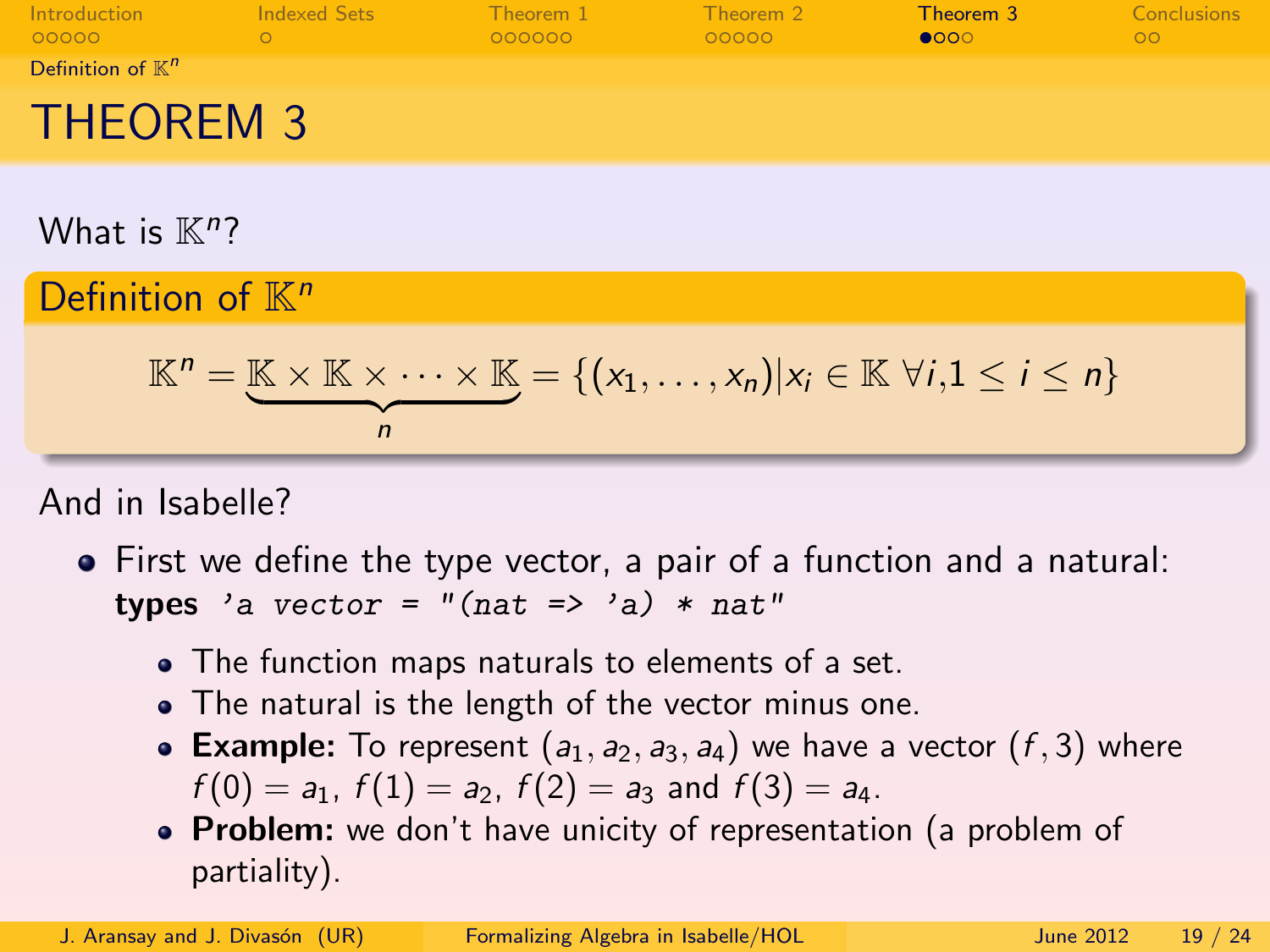| Introduction<br>00000        | Indexed Sets | Theorem 1<br>000000 | Theorem 2<br>00000 | Theorem 3<br>$\bullet$ 000 | Conclusions<br>ററ |
|------------------------------|--------------|---------------------|--------------------|----------------------------|-------------------|
| Definition of $\mathbb{K}^n$ |              |                     |                    |                            |                   |
| <b>THEOREM 3</b>             |              |                     |                    |                            |                   |

What is  $\mathbb{K}^n$ ?

Definition of  $K^n$ 

$$
\mathbb{K}^n = \underbrace{\mathbb{K} \times \mathbb{K} \times \cdots \times \mathbb{K}}_n = \{ (x_1, \ldots, x_n) | x_i \in \mathbb{K} \ \forall i, 1 \leq i \leq n \}
$$

And in Isabelle?

- <span id="page-18-0"></span>First we define the type vector, a pair of a function and a natural: types 'a vector =  $''$ (nat => 'a) \* nat"
	- The function maps naturals to elements of a set.
	- The natural is the length of the vector minus one.
	- Example: To represent  $(a_1, a_2, a_3, a_4)$  we have a vector  $(f, 3)$  where  $f(0) = a_1$ ,  $f(1) = a_2$ ,  $f(2) = a_3$  and  $f(3) = a_4$ .
	- Problem: we don't have unicity of representation (a problem of partiality).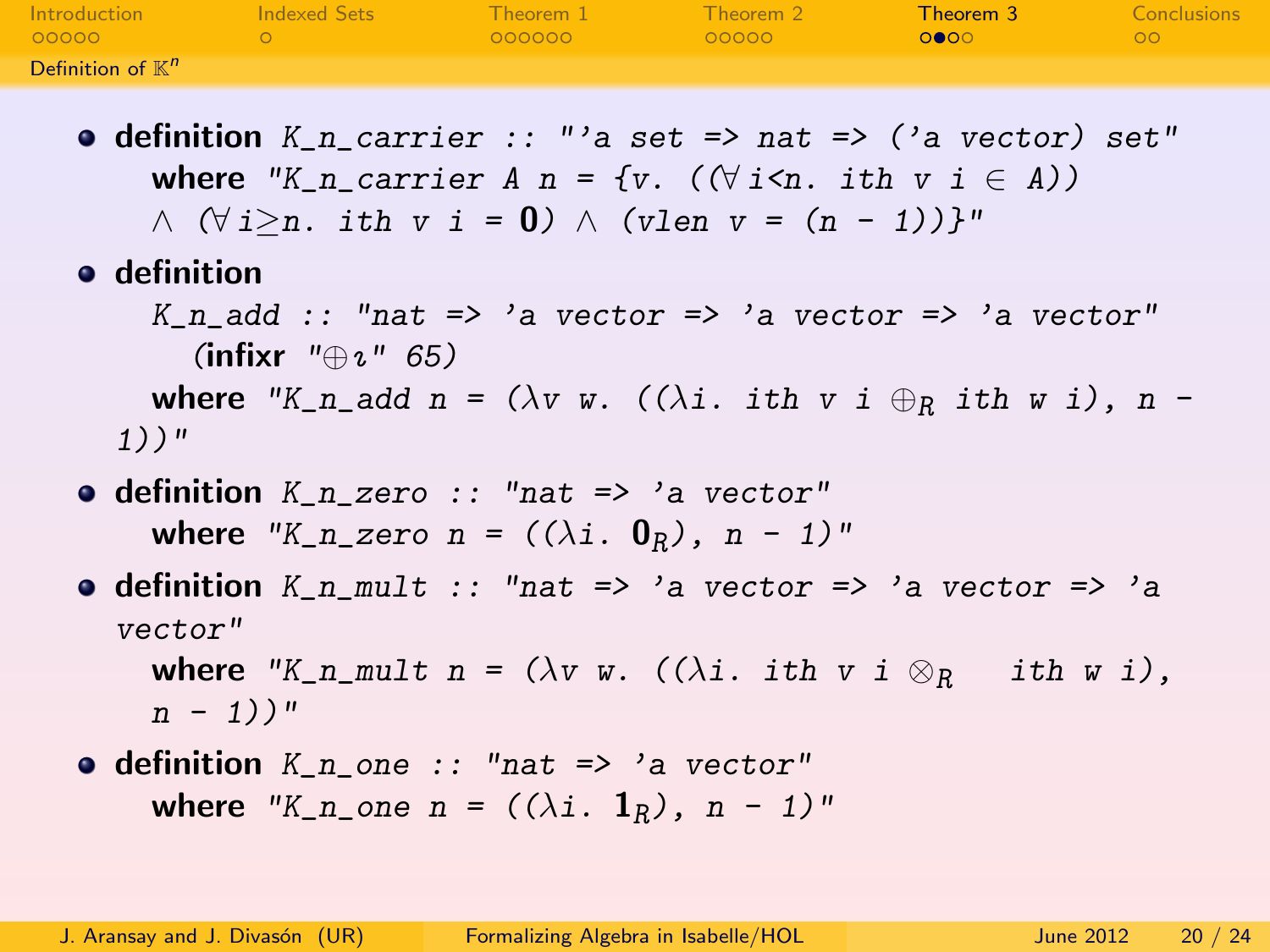| Introduction        | Indexed Sets | Theorem 1 | Theorem 2 | Theorem 3 | Conclusions |
|---------------------|--------------|-----------|-----------|-----------|-------------|
| 00000               |              | OOOOOO    | 00000     | ററേറ      | no          |
| Definition of $K^n$ |              |           |           |           |             |

- **definition** K n carrier :: "'a set => nat => ('a vector) set" where "K\_n\_carrier A\_n = {v. ( $(\forall i \leq n$ . ith v i  $\in$  A))  $\wedge$   $(\forall i > n$ . ith v i = 0)  $\wedge$  (vlen v =  $(n - 1)$ )}"
- **o** definition

 $K_n$ \_add :: "nat => 'a vector => 'a vector => 'a vector" (infixr  $"\oplus_{\iota}$ " 65) where "K\_n\_add n = ( $\lambda v$  w. (( $\lambda i$ . ith v i  $\oplus_R$  ith w i), n -1))"

- $\bullet$  definition  $K_n$  zero :: "nat => 'a vector" where "K\_n\_zero n =  $((\lambda i. 0_R), n - 1)$ "
- **definition** K\_n\_mult :: "nat => 'a vector => 'a vector => 'a vector"

<span id="page-19-0"></span>where "K\_n\_mult n =  $(\lambda v \ w. ((\lambda i. *ith* v i  $\otimes_R$  *ith* w i),$  $n - 1)$ )"

 $\bullet$  definition  $K_n$  one :: "nat => 'a vector" where "K\_n\_one n =  $((\lambda i. \mathbf{1}_R), n - 1)$ "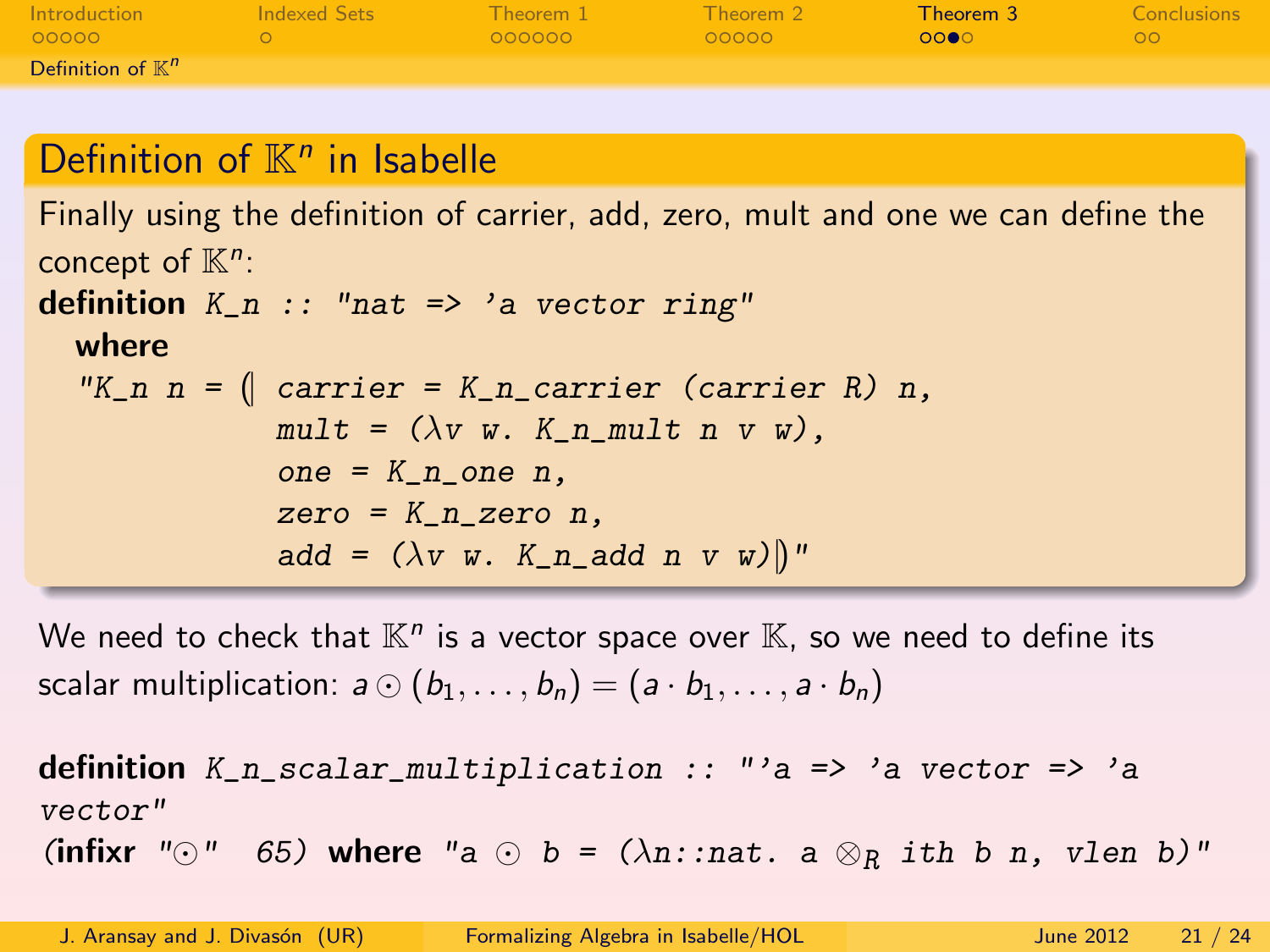| Introduction                 | Indexed Sets | Theorem 1 | Theorem 2 | Theorem 3 | Conclusions |
|------------------------------|--------------|-----------|-----------|-----------|-------------|
| 00000                        |              | 000000    | 00000     | 0000      | ററ          |
| Definition of $\mathbb{K}^n$ |              |           |           |           |             |

# Definition of  $K<sup>n</sup>$  in Isabelle

Finally using the definition of carrier, add, zero, mult and one we can define the concept of  $\mathbb{K}^n$ : definition  $K_n$  :: "nat => 'a vector ring" where "K\_n n =  $\int$  carrier = K\_n\_carrier (carrier R) n,  $mult = (\lambda v w. K_n_mu$ lt n v w),  $one = K_n$  one  $n$ ,  $zero = K_n$  zero n, add =  $(\lambda v \ w. K_n$  add n v w) ||"

We need to check that  $\mathbb{K}^n$  is a vector space over  $\mathbb{K}$ , so we need to define its scalar multiplication:  $a \odot (b_1, \ldots, b_n) = (a \cdot b_1, \ldots, a \cdot b_n)$ 

<span id="page-20-0"></span>definition  $K_n$  scalar multiplication :: "'a => 'a vector => 'a vector" (infixr " $\odot$ " 65) where "a  $\odot$  b = ( $\lambda$ n::nat. a  $\otimes_R$  ith b n, vlen b)"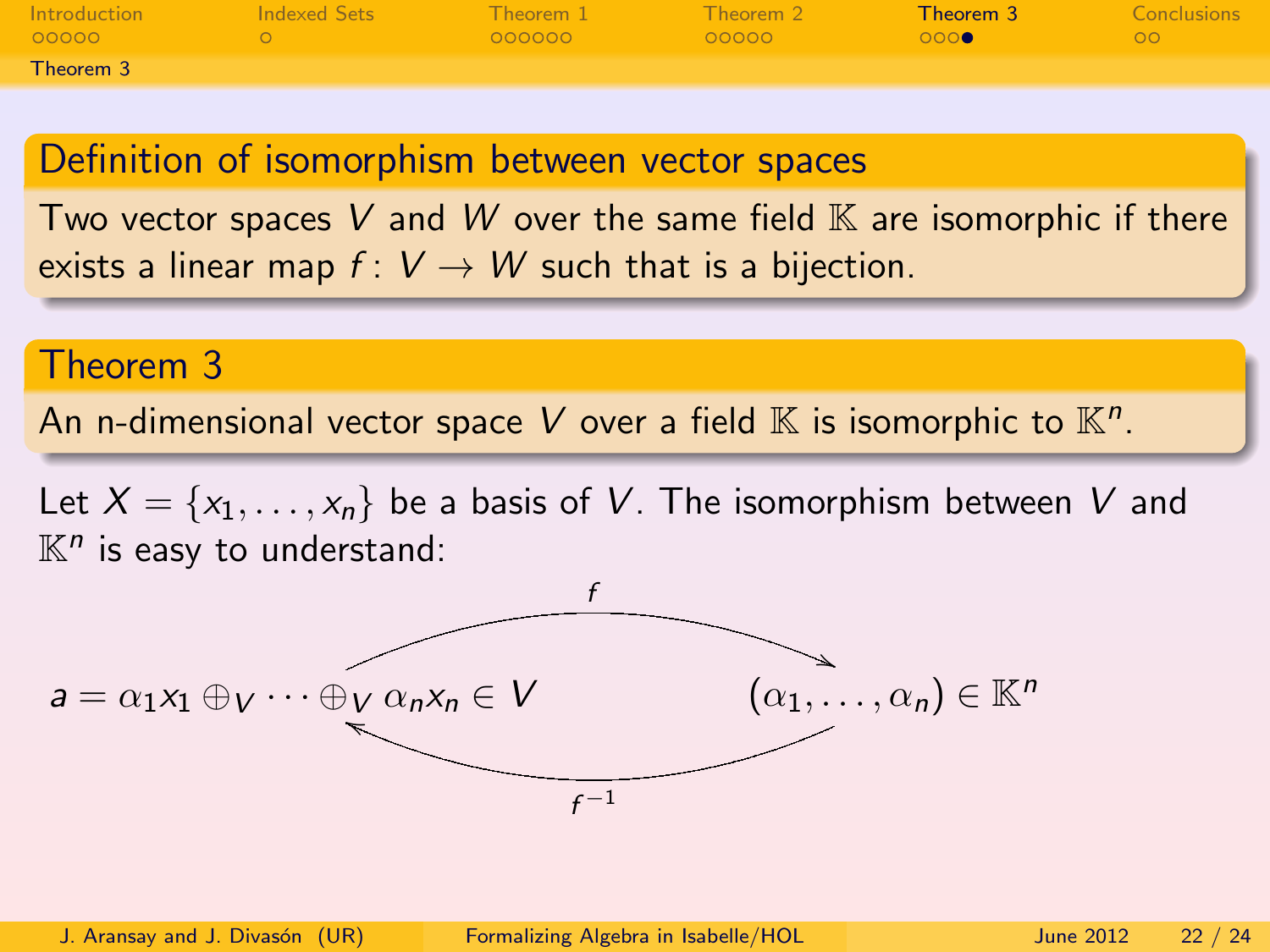| <b>Introduction</b><br>00000 - | Indexed Sets | Theorem 1 Theorem 2<br>- QQQQQQ | COOOO | Theorem 3<br>ാറാക | Conclusions<br>ററ |
|--------------------------------|--------------|---------------------------------|-------|-------------------|-------------------|
| Theorem 3                      |              |                                 |       |                   |                   |

#### Definition of isomorphism between vector spaces

Two vector spaces V and W over the same field  $\mathbb K$  are isomorphic if there exists a linear map  $f: V \to W$  such that is a bijection.

#### Theorem 3

An n-dimensional vector space V over a field  $\mathbb K$  is isomorphic to  $\mathbb K^n.$ 

Let  $X = \{x_1, \ldots, x_n\}$  be a basis of V. The isomorphism between V and  $\mathbb{K}^n$  is easy to understand:

<span id="page-21-0"></span>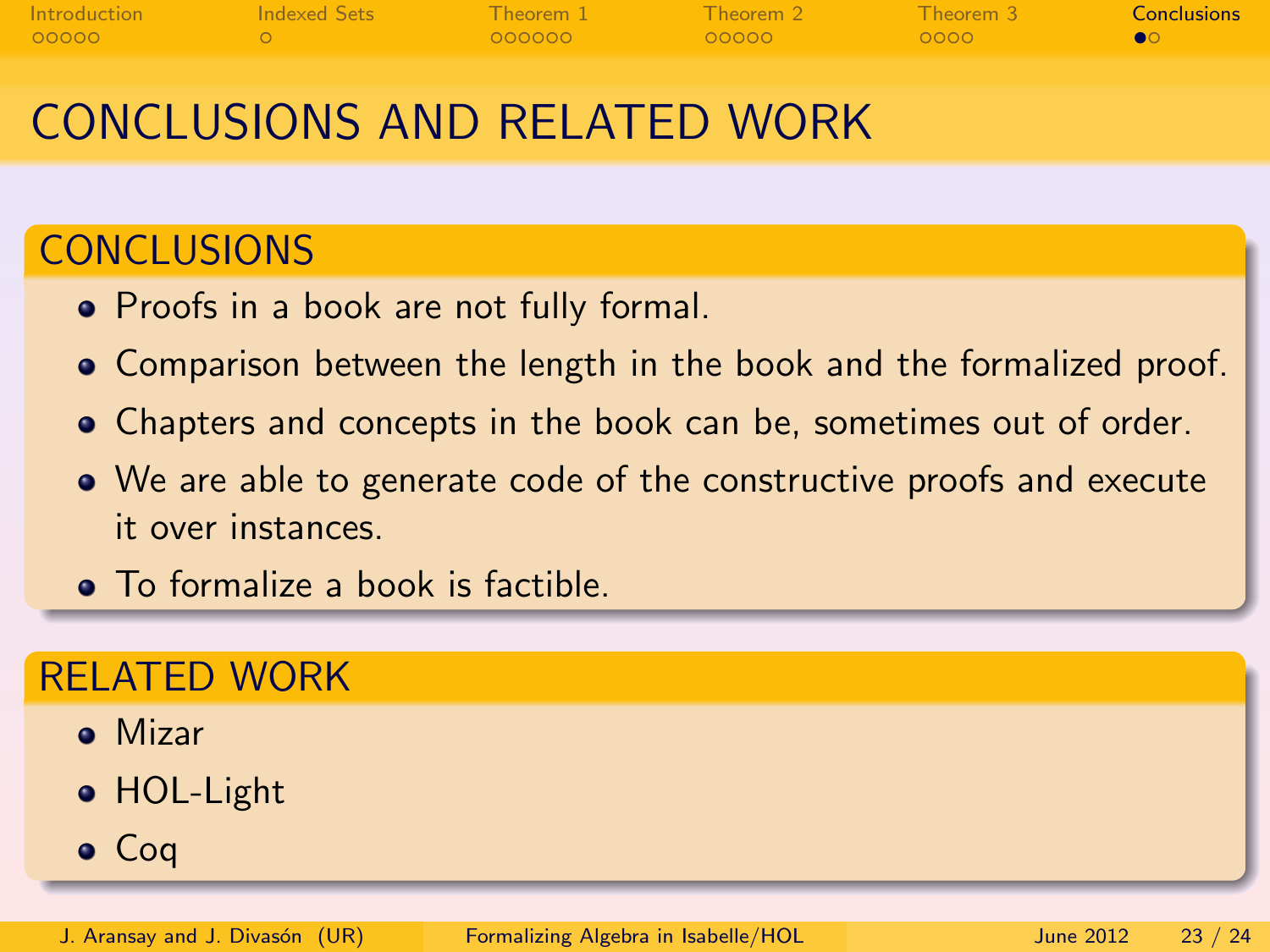| <b>Introduction</b> | Indexed Sets | Theorem 1 | $\blacksquare$ Theorem 2 | $\blacksquare$ Theorem 3 | <b>Conclusions</b> |
|---------------------|--------------|-----------|--------------------------|--------------------------|--------------------|
| 00000               |              | 000000    | - റററററ                  | - ററററ                   |                    |

# CONCLUSIONS AND RELATED WORK

## **CONCLUSIONS**

- Proofs in a book are not fully formal.
- Comparison between the length in the book and the formalized proof.
- Chapters and concepts in the book can be, sometimes out of order.
- We are able to generate code of the constructive proofs and execute it over instances.
- To formalize a book is factible.

#### RELATED WORK

- Mizar
- HOL-Light
- <span id="page-22-0"></span>• Coq